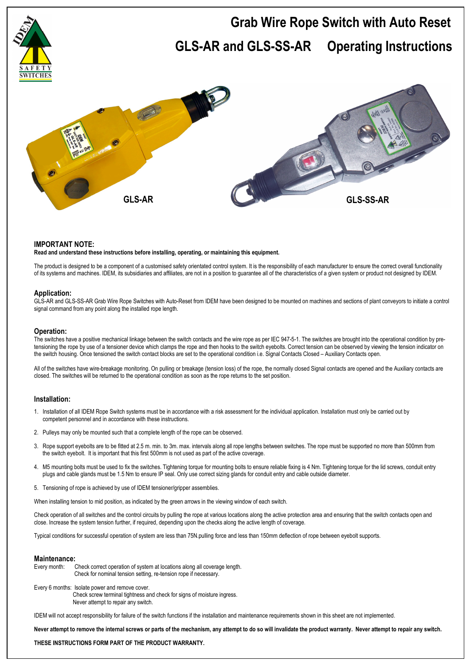

## **IMPORTANT NOTE:**

#### **Read and understand these instructions before installing, operating, or maintaining this equipment.**

The product is designed to be a component of a customised safety orientated control system. It is the responsibility of each manufacturer to ensure the correct overall functionality of its systems and machines. IDEM, its subsidiaries and affiliates, are not in a position to guarantee all of the characteristics of a given system or product not designed by IDEM.

# **Application:**

GLS-AR and GLS-SS-AR Grab Wire Rope Switches with Auto-Reset from IDEM have been designed to be mounted on machines and sections of plant conveyors to initiate a control signal command from any point along the installed rope length.

#### **Operation:**

The switches have a positive mechanical linkage between the switch contacts and the wire rope as per IEC 947-5-1. The switches are brought into the operational condition by pretensioning the rope by use of a tensioner device which clamps the rope and then hooks to the switch eyebolts. Correct tension can be observed by viewing the tension indicator on the switch housing. Once tensioned the switch contact blocks are set to the operational condition i.e. Signal Contacts Closed – Auxiliary Contacts open.

All of the switches have wire-breakage monitoring. On pulling or breakage (tension loss) of the rope, the normally closed Signal contacts are opened and the Auxiliary contacts are closed. The switches will be returned to the operational condition as soon as the rope returns to the set position.

## **Installation:**

- 1. Installation of all IDEM Rope Switch systems must be in accordance with a risk assessment for the individual application. Installation must only be carried out by competent personnel and in accordance with these instructions.
- 2. Pulleys may only be mounted such that a complete length of the rope can be observed.
- 3. Rope support eyebolts are to be fitted at 2.5 m. min. to 3m. max. intervals along all rope lengths between switches. The rope must be supported no more than 500mm from the switch eyebolt. It is important that this first 500mm is not used as part of the active coverage.
- 4. M5 mounting bolts must be used to fix the switches. Tightening torque for mounting bolts to ensure reliable fixing is 4 Nm. Tightening torque for the lid screws, conduit entry plugs and cable glands must be 1.5 Nm to ensure IP seal. Only use correct sizing glands for conduit entry and cable outside diameter.
- 5. Tensioning of rope is achieved by use of IDEM tensioner/gripper assemblies.

When installing tension to mid position, as indicated by the green arrows in the viewing window of each switch.

Check operation of all switches and the control circuits by pulling the rope at various locations along the active protection area and ensuring that the switch contacts open and close. Increase the system tension further, if required, depending upon the checks along the active length of coverage.

Typical conditions for successful operation of system are less than 75N.pulling force and less than 150mm deflection of rope between eyebolt supports.

#### **Maintenance:**

- Every month: Check correct operation of system at locations along all coverage length. Check for nominal tension setting, re-tension rope if necessary.
- Every 6 months: Isolate power and remove cover. Check screw terminal tightness and check for signs of moisture ingress. Never attempt to repair any switch.

IDEM will not accept responsibility for failure of the switch functions if the installation and maintenance requirements shown in this sheet are not implemented.

**Never attempt to remove the internal screws or parts of the mechanism, any attempt to do so will invalidate the product warranty. Never attempt to repair any switch.** 

**THESE INSTRUCTIONS FORM PART OF THE PRODUCT WARRANTY.**